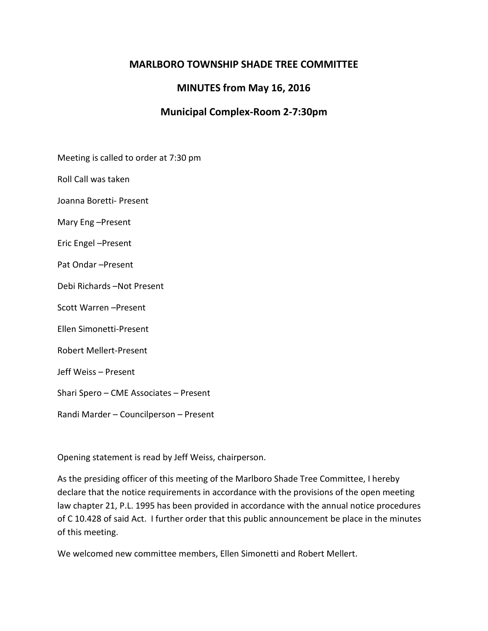# **MARLBORO TOWNSHIP SHADE TREE COMMITTEE**

# **MINUTES from May 16, 2016**

# **Municipal Complex-Room 2-7:30pm**

Meeting is called to order at 7:30 pm

Roll Call was taken

Joanna Boretti- Present

Mary Eng –Present

Eric Engel –Present

Pat Ondar –Present

Debi Richards –Not Present

Scott Warren –Present

Ellen Simonetti-Present

Robert Mellert-Present

Jeff Weiss – Present

Shari Spero – CME Associates – Present

Randi Marder – Councilperson – Present

Opening statement is read by Jeff Weiss, chairperson.

As the presiding officer of this meeting of the Marlboro Shade Tree Committee, I hereby declare that the notice requirements in accordance with the provisions of the open meeting law chapter 21, P.L. 1995 has been provided in accordance with the annual notice procedures of C 10.428 of said Act. I further order that this public announcement be place in the minutes of this meeting.

We welcomed new committee members, Ellen Simonetti and Robert Mellert.